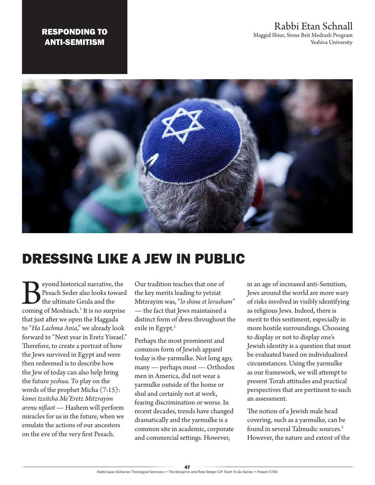## RESPONDING TO ANTI-SEMITISM

## Rabbi Etan Schnall Maggid Shiur, Stone Beit Medrash Program

Yeshiva University



## DRESSING LIKE A JEW IN PUBLIC

**B**eyond historical narrative, the Pesach Seder also looks toward the ultimate Geula and the coming of Moshiach.<sup>1</sup> It is no surprise Pesach Seder also looks toward the ultimate Geula and the that just after we open the Haggada to "*Ha Lachma Ania*," we already look forward to "Next year in Eretz Yisrael." Therefore, to create a portrait of how the Jews survived in Egypt and were then redeemed is to describe how the Jew of today can also help bring the future *yeshua*. To play on the words of the prophet Micha (7:15): *kimei tzeitcha Me'Eretz Mitzrayim arenu niflaot* — Hashem will perform miracles for us in the future, when we emulate the actions of our ancestors on the eve of the very first Pesach.

Our tradition teaches that one of the key merits leading to yetziat Mitzrayim was, "*lo shinu et levusham*" — the fact that Jews maintained a distinct form of dress throughout the exile in Egypt.<sup>2</sup>

Perhaps the most prominent and common form of Jewish apparel today is the yarmulke. Not long ago, many — perhaps most — Orthodox men in America, did not wear a yarmulke outside of the home or shul and certainly not at work, fearing discrimination or worse. In recent decades, trends have changed dramatically and the yarmulke is a common site in academic, corporate and commercial settings. However,

in an age of increased anti-Semitism, Jews around the world are more wary of risks involved in visibly identifying as religious Jews. Indeed, there is merit to this sentiment, especially in more hostile surroundings. Choosing to display or not to display one's Jewish identity is a question that must be evaluated based on individualized circumstances. Using the yarmulke as our framework, we will attempt to present Torah attitudes and practical perspectives that are pertinent to such an assessment.

The notion of a Jewish male head covering, such as a yarmulke, can be found in several Talmudic sources.3 However, the nature and extent of the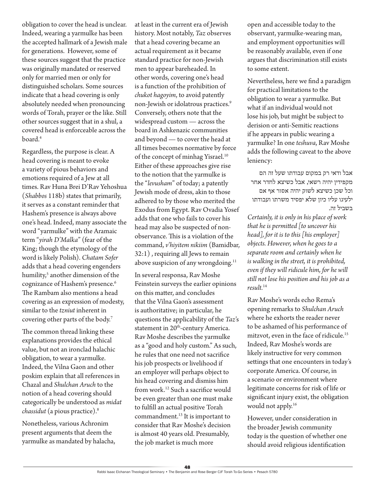obligation to cover the head is unclear. Indeed, wearing a yarmulke has been the accepted hallmark of a Jewish male for generations. However, some of these sources suggest that the practice was originally mandated or reserved only for married men or only for distinguished scholars. Some sources indicate that a head covering is only absolutely needed when pronouncing words of Torah, prayer or the like. Still other sources suggest that in a shul, a covered head is enforceable across the board.<sup>4</sup>

Regardless, the purpose is clear. A head covering is meant to evoke a variety of pious behaviors and emotions required of a Jew at all times. Rav Huna Brei D'Rav Yehoshua (*Shabbos* 118b) states that primarily, it serves as a constant reminder that Hashem's presence is always above one's head. Indeed, many associate the word "yarmulke" with the Aramaic term "*yirah D'Malka*" (fear of the King; though the etymology of the word is likely Polish). *Chatam Sofer* adds that a head covering engenders humility,<sup>5</sup> another dimension of the cognizance of Hashem's presence.<sup>6</sup> The Rambam also mentions a head covering as an expression of modesty, similar to the *tzniut* inherent in covering other parts of the body.<sup>7</sup>

The common thread linking these explanations provides the ethical value, but not an ironclad halachic obligation, to wear a yarmulke. Indeed, the Vilna Gaon and other poskim explain that all references in Chazal and *Shulchan Aruch* to the notion of a head covering should categorically be understood as *midat chassidut* (a pious practice).8

Nonetheless, various Achronim present arguments that deem the yarmulke as mandated by halacha, at least in the current era of Jewish history. Most notably, *Taz* observes that a head covering became an actual requirement as it became standard practice for non-Jewish men to appear bareheaded. In other words, covering one's head is a function of the prohibition of *chukot hagoyim*, to avoid patently non-Jewish or idolatrous practices.<sup>9</sup> Conversely, others note that the widespread custom — across the board in Ashkenazic communities and beyond — to cover the head at all times becomes normative by force of the concept of minhag Yisrael.<sup>10</sup> Either of these approaches give rise to the notion that the yarmulke is the "*levusham*" of today; a patently Jewish mode of dress, akin to those adhered to by those who merited the Exodus from Egypt. Rav Ovadia Yosef adds that one who fails to cover his head may also be suspected of nonobservance. This is a violation of the command, *v'hiyitem nikiim* (Bamidbar, 32:1) , requiring all Jews to remain above suspicion of any wrongdoing.<sup>11</sup>

In several responsa, Rav Moshe Feinstein surveys the earlier opinions on this matter, and concludes that the Vilna Gaon's assessment is authoritative; in particular, he questions the applicability of the *Taz*'s statement in 20<sup>th</sup>-century America. Rav Moshe describes the yarmulke as a "good and holy custom." As such, he rules that one need not sacrifice his job prospects or livelihood if an employer will perhaps object to his head covering and dismiss him from work.<sup>12</sup> Such a sacrifice would be even greater than one must make to fulfill an actual positive Torah commandment.<sup>13</sup> It is important to consider that Rav Moshe's decision is almost 40 years old. Presumably, the job market is much more

open and accessible today to the observant, yarmulke-wearing man, and employment opportunities will be reasonably available, even if one argues that discrimination still exists to some extent.

Nevertheless, here we find a paradigm for practical limitations to the obligation to wear a yarmulke. But what if an individual would not lose his job, but might be subject to derision or anti-Semitic reactions if he appears in public wearing a yarmulke? In one *teshuva*, Rav Moshe adds the following caveat to the above leniency:

אבל ודאי רק במקום עבודתו שעל זה הם מקפידין יהיה רשאי, אבל כשיצא לחדר אחר וכל שכן כשיצא לשוק יהיה אסור אף אם ילעיגו עליו כיון שלא יפסיד משרתו ועבודתו בשביל זה.

*Certainly, it is only in his place of work that he is permitted [to uncover his head], for it is to this [his employer] objects. However, when he goes to a separate room and certainly when he is walking in the street, it is prohibited, even if they will ridicule him, for he will still not lose his position and his job as a result.*<sup>14</sup>

Rav Moshe's words echo Rema's opening remarks to *Shulchan Aruch* where he exhorts the reader never to be ashamed of his performance of mitzvot, even in the face of ridicule.15 Indeed, Rav Moshe's words are likely instructive for very common settings that one encounters in today's corporate America. Of course, in a scenario or environment where legitimate concerns for risk of life or significant injury exist, the obligation would not apply.16

However, under consideration in the broader Jewish community today is the question of whether one should avoid religious identification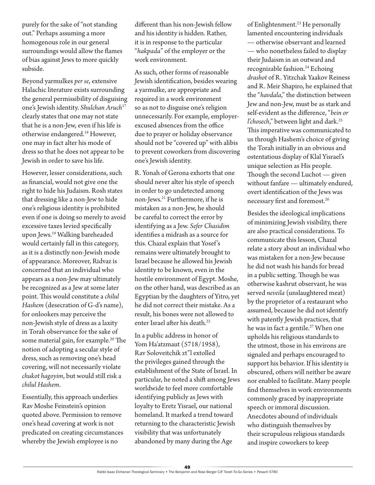purely for the sake of "not standing out." Perhaps assuming a more homogenous role in our general surroundings would allow the flames of bias against Jews to more quickly subside.

Beyond yarmulkes *per se*, extensive Halachic literature exists surrounding the general permissibility of disguising one's Jewish identity. *Shulchan Aruch*<sup>17</sup> clearly states that one may not state that he is a non-Jew, even if his life is otherwise endangered.18 However, one may in fact alter his mode of dress so that he does not appear to be Jewish in order to save his life.

However, lesser considerations, such as financial, would not give one the right to hide his Judaism. Rosh states that dressing like a non-Jew to hide one's religious identity is prohibited even if one is doing so merely to avoid excessive taxes levied specifically upon Jews.19 Walking bareheaded would certainly fall in this category, as it is a distinctly non-Jewish mode of appearance. Moreover, Ridvaz is concerned that an individual who appears as a non-Jew may ultimately be recognized as a Jew at some later point. This would constitute a *chilul Hashem* (desecration of G-d's name), for onlookers may perceive the non-Jewish style of dress as a laxity in Torah observance for the sake of some material gain, for example.<sup>20</sup> The notion of adopting a secular style of dress, such as removing one's head covering, will not necessarily violate *chukot hagoyim*, but would still risk a *chilul Hashem*.

Essentially, this approach underlies Rav Moshe Feinstein's opinion quoted above. Permission to remove one's head covering at work is not predicated on creating circumstances whereby the Jewish employee is no

different than his non-Jewish fellow and his identity is hidden. Rather, it is in response to the particular "*hakpada*" of the employer or the work environment.

As such, other forms of reasonable Jewish identification, besides wearing a yarmulke, are appropriate and required in a work environment so as not to disguise one's religion unnecessarily. For example, employerexcused absences from the office due to prayer or holiday observance should not be "covered up" with alibis to prevent coworkers from discovering one's Jewish identity.

R. Yonah of Gerona exhorts that one should never alter his style of speech in order to go undetected among non-Jews.21 Furthermore, if he is mistaken as a non-Jew, he should be careful to correct the error by identifying as a Jew. *Sefer Chasidim* identifies a midrash as a source for this. Chazal explain that Yosef 's remains were ultimately brought to Israel because he allowed his Jewish identity to be known, even in the hostile environment of Egypt. Moshe, on the other hand, was described as an Egyptian by the daughters of Yitro, yet he did not correct their mistake. As a result, his bones were not allowed to enter Israel after his death.<sup>22</sup>

In a public address in honor of Yom Ha'atzmaut (5718/1958), Rav Soloveitchik zt"l extolled the privileges gained through the establishment of the State of Israel. In particular, he noted a shift among Jews worldwide to feel more comfortable identifying publicly as Jews with loyalty to Eretz Yisrael, our national homeland. It marked a trend toward returning to the characteristic Jewish visibility that was unfortunately abandoned by many during the Age

of Enlightenment.<sup>23</sup> He personally lamented encountering individuals — otherwise observant and learned — who nonetheless failed to display their Judaism in an outward and recognizable fashion.<sup>24</sup> Echoing *drashot* of R. Yitzchak Yaakov Reiness and R. Meir Shapiro, he explained that the "*havdala*," the distinction between Jew and non-Jew, must be as stark and self-evident as the difference, "*bein or l'chosech*," between light and dark.<sup>25</sup> This imperative was communicated to us through Hashem's choice of giving the Torah initially in an obvious and ostentatious display of Klal Yisrael's unique selection as His people. Though the second Luchot — given without fanfare — ultimately endured, overt identification of the Jews was necessary first and foremost.26

Besides the ideological implications of minimizing Jewish visibility, there are also practical considerations. To communicate this lesson, Chazal relate a story about an individual who was mistaken for a non-Jew because he did not wash his hands for bread in a public setting. Though he was otherwise kashrut observant, he was served *neveila* (unslaughtered meat) by the proprietor of a restaurant who assumed, because he did not identify with patently Jewish practices, that he was in fact a gentile.<sup>27</sup> When one upholds his religious standards to the utmost, those in his environs are signaled and perhaps encouraged to support his behavior. If his identity is obscured, others will neither be aware nor enabled to facilitate. Many people find themselves in work environments commonly graced by inappropriate speech or immoral discussion. Anecdotes abound of individuals who distinguish themselves by their scrupulous religious standards and inspire coworkers to keep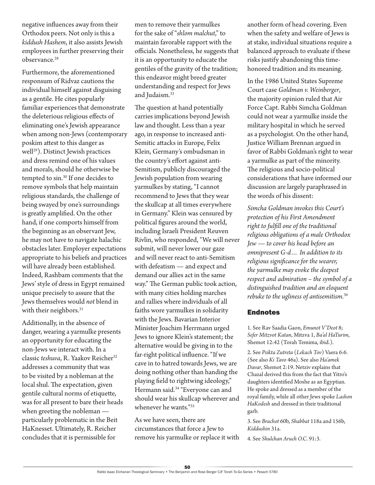negative influences away from their Orthodox peers. Not only is this a *kiddush Hashem*, it also assists Jewish employees in further preserving their observance.<sup>28</sup>

Furthermore, the aforementioned responsum of Ridvaz cautions the individual himself against disguising as a gentile. He cites popularly familiar experiences that demonstrate the deleterious religious effects of eliminating one's Jewish appearance when among non-Jews (contemporary poskim attest to this danger as well<sup>29</sup>). Distinct Jewish practices and dress remind one of his values and morals, should he otherwise be tempted to sin.30 If one decides to remove symbols that help maintain religious standards, the challenge of being swayed by one's surroundings is greatly amplified. On the other hand, if one comports himself from the beginning as an observant Jew, he may not have to navigate halachic obstacles later. Employer expectations appropriate to his beliefs and practices will have already been established. Indeed, Rashbam comments that the Jews' style of dress in Egypt remained unique precisely to assure that the Jews themselves would *not* blend in with their neighbors.<sup>31</sup>

Additionally, in the absence of danger, wearing a yarmulke presents an opportunity for educating the non-Jews we interact with. In a classic *teshuva*, R. Yaakov Reicher<sup>32</sup> addresses a community that was to be visited by a nobleman at the local shul. The expectation, given gentile cultural norms of etiquette, was for all present to bare their heads when greeting the nobleman particularly problematic in the Beit HaKnesset. Ultimately, R. Reicher concludes that it is permissible for

men to remove their yarmulkes for the sake of "*shlom malchut*," to maintain favorable rapport with the officials. Nonetheless, he suggests that it is an opportunity to educate the gentiles of the gravity of the tradition; this endeavor might breed greater understanding and respect for Jews and Judaism.<sup>33</sup>

The question at hand potentially carries implications beyond Jewish law and thought. Less than a year ago, in response to increased anti-Semitic attacks in Europe, Felix Klein, Germany's ombudsman in the country's effort against anti-Semitism, publicly discouraged the Jewish population from wearing yarmulkes by stating, "I cannot recommend to Jews that they wear the skullcap at all times everywhere in Germany." Klein was censured by political figures around the world, including Israeli President Reuven Rivlin, who responded, "We will never submit, will never lower our gaze and will never react to anti-Semitism with defeatism — and expect and demand our allies act in the same way." The German public took action, with many cities holding marches and rallies where individuals of all faiths wore yarmulkes in solidarity with the Jews. Bavarian Interior Minister Joachim Herrmann urged Jews to ignore Klein's statement; the alternative would be giving in to the far-right political influence. "If we cave in to hatred towards Jews, we are doing nothing other than handing the playing field to rightwing ideology," Hermann said.<sup>34</sup> "Everyone can and should wear his skullcap wherever and whenever he wants."35

As we have seen, there are circumstances that force a Jew to remove his yarmulke or replace it with another form of head covering. Even when the safety and welfare of Jews is at stake, individual situations require a balanced approach to evaluate if these risks justify abandoning this timehonored tradition and its meaning.

In the 1986 United States Supreme Court case *Goldman v. Weinberger*, the majority opinion ruled that Air Force Capt. Rabbi Simcha Goldman could not wear a yarmulke inside the military hospital in which he served as a psychologist. On the other hand, Justice William Brennan argued in favor of Rabbi Goldman's right to wear a yarmulke as part of the minority. The religious and socio-political considerations that have informed our discussion are largely paraphrased in the words of his dissent:

*Simcha Goldman invokes this Court's protection of his First Amendment right to fulfill one of the traditional religious obligations of a male Orthodox Jew — to cover his head before an omnipresent G-d… In addition to its religious significance for the wearer, the yarmulke may evoke the deepest respect and admiration – the symbol of a distinguished tradition and an eloquent rebuke to the ugliness of antisemitism.*<sup>36</sup>

## Endnotes

1. See Rav Saadia Gaon, *Emunot V'Deot* 8; *Sefer Mitzvot Katan*, Mitzva 1, *Ba'al HaTurim*, Shemot 12:42 (Torah Temima, ibid.).

2. See *Psikta Zutreta* (*Lekach Tov*) Vaera 6:6. (See also *Ki Tavo* 46a). See also *Ha'amek Davar*, Shemot 2:19. Netziv explains that Chazal derived this from the fact that Yitro's daughters identified Moshe as an Egyptian. He spoke and dressed as a member of the royal family, while all other Jews spoke *Lashon HaKodesh* and dressed in their traditional garb.

3. See *Brachot* 60b, *Shabbat* 118a and 156b, *Kiddushin* 31a.

4. See *Shulchan Aruch O.C*. 91:3.